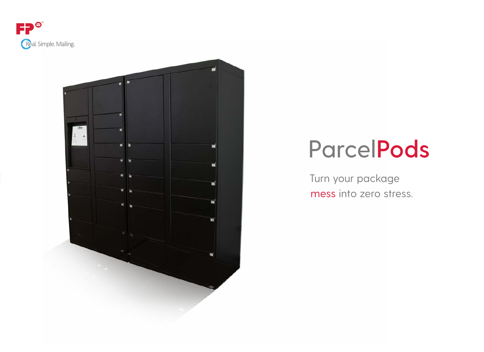



# Parcel**Pods**

Turn your package mess into zero stress.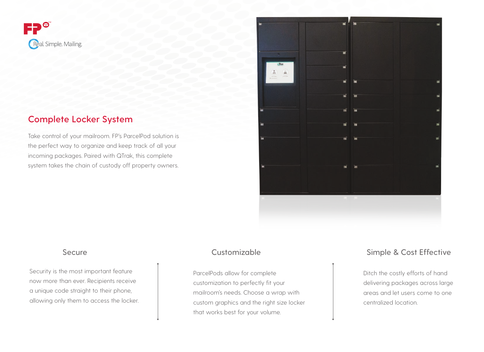

### **Complete Locker System**

Take control of your mailroom. FP's ParcelPod solution is the perfect way to organize and keep track of all your incoming packages. Paired with QTrak, this complete system takes the chain of custody off property owners.



Security is the most important feature now more than ever. Recipients receive a unique code straight to their phone, allowing only them to access the locker.

ParcelPods allow for complete customization to perfectly fit your mailroom's needs. Choose a wrap with custom graphics and the right size locker that works best for your volume.

### Secure Customizable Customizable Simple & Cost Effective

Ditch the costly efforts of hand delivering packages across large areas and let users come to one centralized location.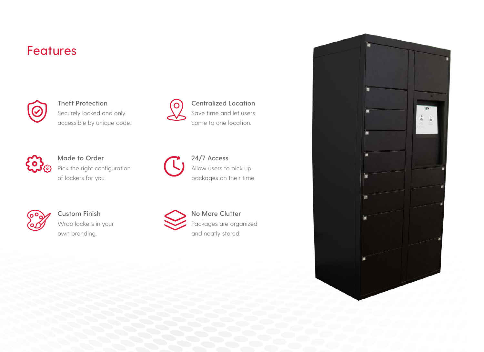# Features



**Theft Protection** Securely locked and only accessible by unique code.



**Centralized Location** Save time and let users come to one location.



**Made to Order** Pick the right configuration of lockers for you.



**24/7 Access** Allow users to pick up packages on their time.



**Custom Finish** Wrap lockers in your own branding.



**No More Clutter** Packages are organized and neatly stored.